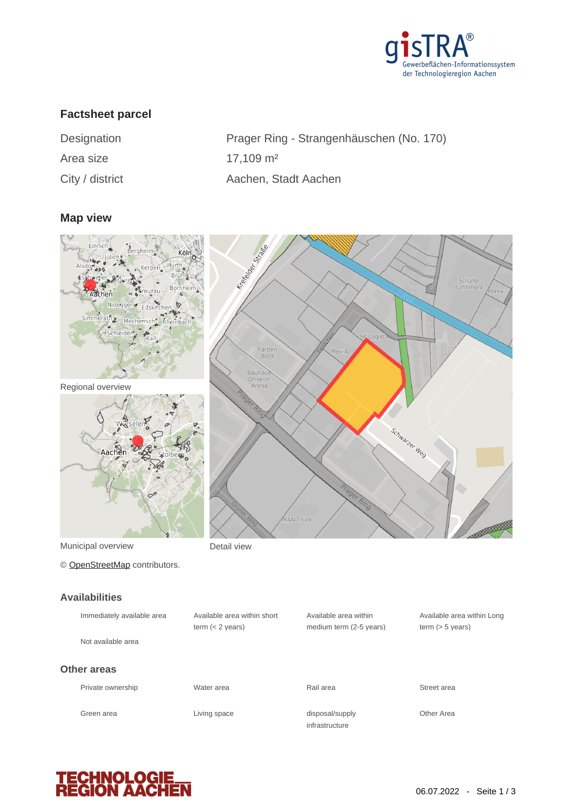

# **Factsheet parcel**

Area size 17,109 m<sup>2</sup>

Designation Prager Ring - Strangenhäuschen (No. 170) City / district Aachen, Stadt Aachen

### **Map view**



Municipal overview **Detail view** 

© [OpenStreetMap](http://www.openstreetmap.org/copyright) contributors.

#### **Availabilities**

| Immediately available area<br>Not available area | Available area within short<br>term $(< 2$ years) | Available area within<br>medium term (2-5 years) | Available a<br>term $(> 5 v)$ |
|--------------------------------------------------|---------------------------------------------------|--------------------------------------------------|-------------------------------|
| <b>Other areas</b>                               |                                                   |                                                  |                               |
| Private ownership                                | Water area                                        | Rail area                                        | Street area                   |
| Green area                                       | Living space                                      | disposal/supply<br>infrastructure                | Other Area                    |

Available area within Long term (> 5 years)

**TECHNOLOG<br>REGION AACI**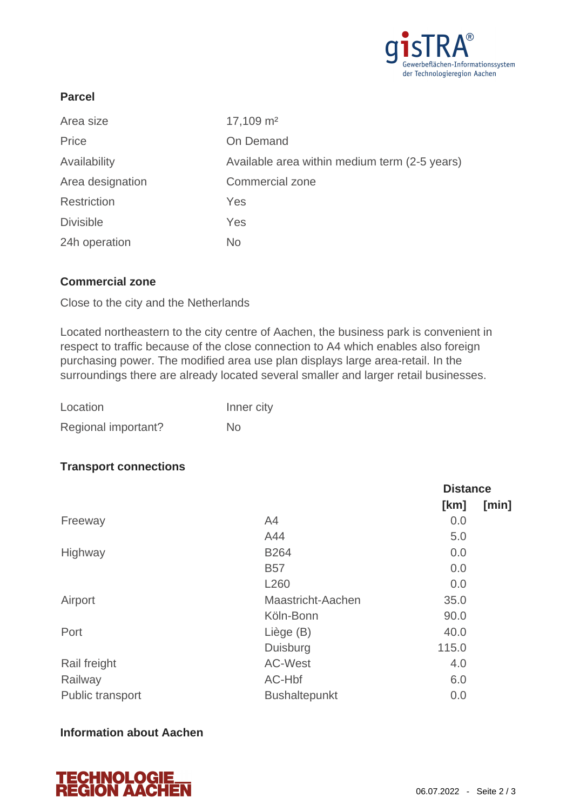

## **Parcel**

| Area size          | $17,109$ m <sup>2</sup>                       |
|--------------------|-----------------------------------------------|
| Price              | On Demand                                     |
| Availability       | Available area within medium term (2-5 years) |
| Area designation   | <b>Commercial zone</b>                        |
| <b>Restriction</b> | Yes                                           |
| <b>Divisible</b>   | Yes                                           |
| 24h operation      | <b>No</b>                                     |

### **Commercial zone**

Close to the city and the Netherlands

Located northeastern to the city centre of Aachen, the business park is convenient in respect to traffic because of the close connection to A4 which enables also foreign purchasing power. The modified area use plan displays large area-retail. In the surroundings there are already located several smaller and larger retail businesses.

| Location            | Inner city |
|---------------------|------------|
| Regional important? | Nο         |

### **Transport connections**

|                         |                      | <b>Distance</b> |       |
|-------------------------|----------------------|-----------------|-------|
|                         |                      | [km]            | [min] |
| Freeway                 | A4                   | 0.0             |       |
|                         | A44                  | 5.0             |       |
| Highway                 | <b>B264</b>          | 0.0             |       |
|                         | <b>B57</b>           | 0.0             |       |
|                         | L <sub>260</sub>     | 0.0             |       |
| Airport                 | Maastricht-Aachen    | 35.0            |       |
|                         | Köln-Bonn            | 90.0            |       |
| Port                    | Liège (B)            | 40.0            |       |
|                         | Duisburg             | 115.0           |       |
| Rail freight            | <b>AC-West</b>       | 4.0             |       |
| Railway                 | AC-Hbf               | 6.0             |       |
| <b>Public transport</b> | <b>Bushaltepunkt</b> | 0.0             |       |

### **Information about Aachen**